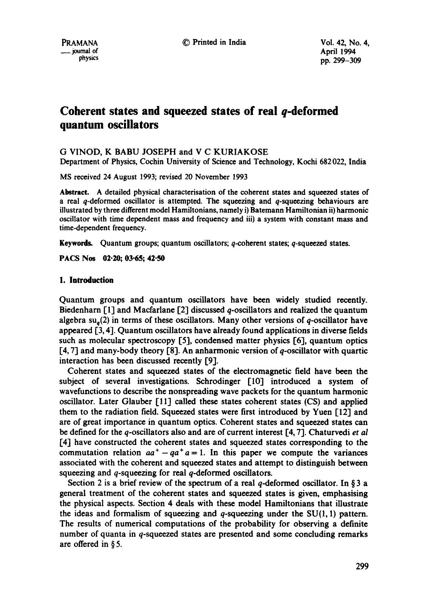# **Coherent states and squeezed states of real q-deformed quantum oscillators**

## G VINOD, K BABU JOSEPH and V C KURIAKOSE

Department of Physics, Cochin University of Science and Technology, Kochi 682 022, India

MS received 24 August 1993; revised 20 November 1993

**Abstract.** A detailed physical characterisation of the coherent states and squeezed states of a real  $q$ -deformed oscillator is attempted. The squeezing and  $q$ -squeezing behaviours are illustrated by three different model Hamiltonians, namely i) Batemann Hamiltonian ii) harmonic oscillator with time dependent mass and frequency and iii) a system with constant mass and time-dependent frequency.

Keywords. Quantum groups; quantum oscillators; q-coherent states; q-squeezed states.

**PACS Nos 02-20; 03-65; 42-50** 

## **1. Introduction**

Quantum groups and quantum oscillators have been widely studied recently. Biedenharn  $\lceil 1 \rceil$  and Macfarlane  $\lceil 2 \rceil$  discussed q-oscillators and realized the quantum algebra  $su_a(2)$  in terms of these oscillators. Many other versions of q-oscillator have appeared [3, 4]. Quantum oscillators have already found applications in diverse fields such as molecular spectroscopy [5], condensed matter physics [6], quantum optics [4, 7] and many-body theory [8]. An anharmonic version of q-oscillator with quartic interaction has been discussed recently [9].

Coherent states and squeezed states of the electromagnetic field have been the subject of several investigations. Sehrodinger [10] introduced a system of wavefunctions to describe the nonspreading wave packets for the quantum harmonic oscillator. Later Glauber [11] called these states coherent states (CS) and applied them to the radiation field. Squeezed states were first introduced by Yuen 112] and are of great importance in quantum optics. Coherent states and squeezed states can be defined for the q-oscillators also and are of current interest [4, 7]. Chaturvedi *et al*  [4] have constructed the coherent states and squeezed states corresponding to the commutation relation  $aa^+ - qa^+a = 1$ . In this paper we compute the variances associated with the coherent and squeezed states and attempt to distinguish between squeezing and q-squeezing for real q-deformed oscillators.

Section 2 is a brief review of the spectrum of a real q-deformed oscillator. In § 3 a general treatment of the coherent states and squeezed states is given, emphasising the physical aspects. Section 4 deals with these model Hamiltonians that illustrate the ideas and formalism of squeezing and q-squeezing under the  $SU(1, 1)$  pattern. The results of numerical computations of the probability for observing a definite number of quanta in q-squeezed states are presented and some concluding remarks are offered in § 5.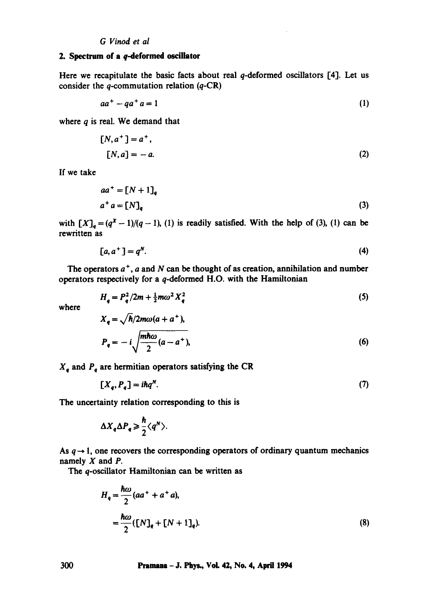## **2. Spectrum of a** q-deformed oscillator

Here we recapitulate the basic facts about real  $q$ -deformed oscillators  $[4]$ . Let us consider the q-commutation relation  $(q-CR)$ 

$$
aa^+ - qa^+a = 1 \tag{1}
$$

where  $q$  is real. We demand that

$$
[N, a+] = a+,
$$
  

$$
[N, a] = -a.
$$
 (2)

If we take

$$
aa^+ = [N+1]_q
$$
  
\n
$$
a^+ a = [N]_q
$$
\n(3)

with  $[X]_q = (q^X - 1)/(q - 1)$ , (1) is readily satisfied. With the help of (3), (1) can be rewritten as

$$
[a, a+] = qN.
$$
 (4)

The operators  $a^+$ , a and N can be thought of as creation, annihilation and number operators respectively for a q-deformed H.O. with the Hamiltonian

$$
H_q = P_q^2 / 2m + \frac{1}{2} m \omega^2 X_q^2
$$
 (5)

where

$$
X_{q} = \sqrt{\hbar/2m\omega(a+a^{+})},
$$
  
\n
$$
P_{q} = -i \sqrt{\frac{m\hbar\omega}{2}(a-a^{+})},
$$
\n(6)

 $X_q$  and  $P_q$  are hermitian operators satisfying the CR

$$
[X_q, P_q] = i\hbar q^N. \tag{7}
$$

The uncertainty relation corresponding to this is

$$
\Delta X_q \Delta P_q \geq \frac{\hbar}{2} \langle q^N \rangle.
$$

As  $q \rightarrow 1$ , one recovers the corresponding operators of ordinary quantum mechanics namely  $X$  and  $P$ .

The q-oscillator Hamiltonian can be written as

$$
H_q = \frac{\hbar\omega}{2} (aa^+ + a^+ a),
$$
  
= 
$$
\frac{\hbar\omega}{2} ([N]_q + [N+1]_q).
$$
 (8)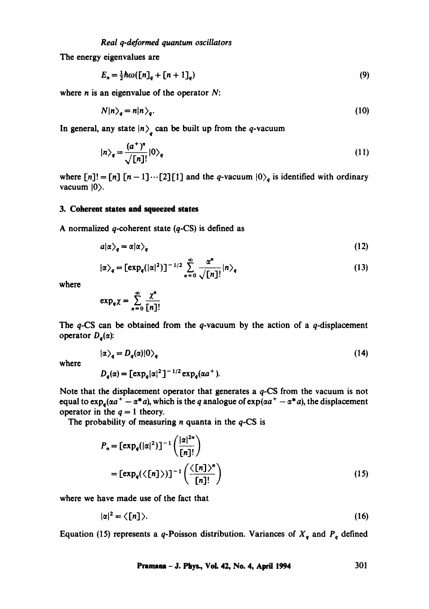The energy eigenvalues are

$$
E_n = \frac{1}{2}\hbar\omega\left(\left[n\right]_q + \left[n+1\right]_q\right) \tag{9}
$$

where  $n$  is an eigenvalue of the operator  $N$ :

$$
N|n\rangle_q = n|n\rangle_q. \tag{10}
$$

In general, any state  $\ket{n}_q$  can be built up from the q-vacuum

$$
|n\rangle_q = \frac{(a^+)^n}{\sqrt{[n]!}}|0\rangle_q \tag{11}
$$

where  $[n]! = [n] [n-1] \cdots [2][1]$  and the q-vacuum  $|0\rangle_q$  is identified with ordinary vacuum  $|0\rangle$ .

## **3. Coherent states and squeezed states**

A normalized  $q$ -coherent state  $(q$ -CS) is defined as

$$
a|\alpha\rangle_q = \alpha|\alpha\rangle_q \tag{12}
$$

$$
|\alpha\rangle_q = \left[\exp_q(|\alpha|^2)\right]^{-1/2} \sum_{n=0}^{\infty} \frac{\alpha^n}{\sqrt{[n]!}} |n\rangle_q \tag{13}
$$

where

$$
\exp_q \chi = \sum_{n=0}^{\infty} \frac{\chi^n}{[n]!}
$$

The  $q$ -CS can be obtained from the  $q$ -vacuum by the action of a  $q$ -displacement operator  $D_a(\alpha)$ :

where

$$
|\alpha\rangle_q = D_q(\alpha)|0\rangle_q
$$
  
\n
$$
D_q(\alpha) = \left[\exp_q|\alpha|^2\right]^{-1/2} \exp_q(\alpha a^+).
$$
\n(14)

Note that the displacement operator that generates a q-CS from the vacuum is not equal to  $\exp_a(\alpha a^+ - \alpha^* a)$ , which is the q analogue of  $\exp(\alpha a^+ - \alpha^* a)$ , the displacement operator in the  $q=1$  theory.

The probability of measuring  $n$  quanta in the  $q$ -CS is

$$
P_n = \left[\exp_q(|\alpha|^2)\right]^{-1} \left(\frac{|\alpha|^{2n}}{[n]!}\right)
$$

$$
= \left[\exp_q(\langle [n]\rangle)\right]^{-1} \left(\frac{\langle [n]\rangle^n}{[n]!}\right) \tag{15}
$$

where we have made use of the fact that

$$
|\alpha|^2 = \langle [n] \rangle. \tag{16}
$$

Equation (15) represents a q-Poisson distribution. Variances of  $X_q$  and  $P_q$  defined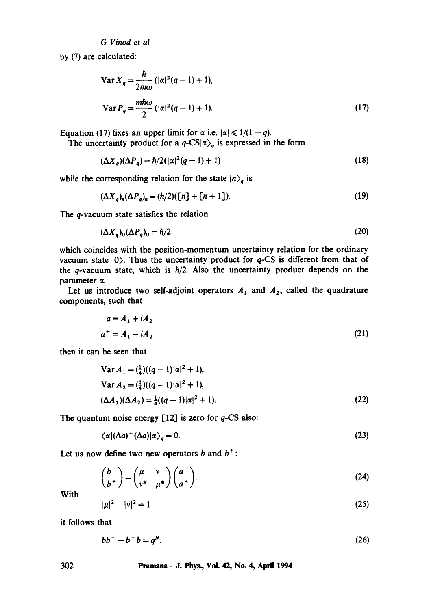*G Vinod et al* 

by (7) are calculated:

$$
\operatorname{Var} X_q = \frac{\hbar}{2m\omega} \left( |\alpha|^2 (q - 1) + 1 \right),
$$
  

$$
\operatorname{Var} P_q = \frac{m\hbar\omega}{2} \left( |\alpha|^2 (q - 1) + 1 \right).
$$
 (17)

Equation (17) fixes an upper limit for  $\alpha$  i.e.  $|\alpha| \leq 1/(1 - q)$ .

The uncertainty product for a  $q$ -CS| $\alpha$ )<sub>q</sub> is expressed in the form

$$
(\Delta X_q)(\Delta P_q) = \hbar/2(|\alpha|^2(q-1)+1) \tag{18}
$$

while the corresponding relation for the state  $|n\rangle_q$  is

$$
(\Delta X_q)_n(\Delta P_q)_n = (\hbar/2)(\lfloor n \rfloor + \lfloor n+1 \rfloor). \tag{19}
$$

The q-vacuum state satisfies the relation

$$
(\Delta X_q)_0 (\Delta P_q)_0 = \hbar/2 \tag{20}
$$

which coincides with the position-momentum uncertainty relation for the ordinary vacuum state  $|0\rangle$ . Thus the uncertainty product for  $q$ -CS is different from that of the q-vacuum state, which is  $h/2$ . Also the uncertainty product depends on the parameter  $\alpha$ .

Let us introduce two self-adjoint operators  $A_1$  and  $A_2$ , called the quadrature components, such that

$$
a = A_1 + iA_2
$$
  
\n
$$
a^+ = A_1 - iA_2
$$
\n(21)

then it can be seen that

Var 
$$
A_1 = (\frac{1}{4})((q-1)|\alpha|^2 + 1)
$$
,  
Var  $A_2 = (\frac{1}{4})((q-1)|\alpha|^2 + 1)$ ,  
 $(\Delta A_1)(\Delta A_2) = \frac{1}{4}((q-1)|\alpha|^2 + 1)$ . (22)

The quantum noise energy  $[12]$  is zero for q-CS also:

$$
\langle \alpha | (\Delta a)^{+} (\Delta a) | \alpha \rangle_{q} = 0. \tag{23}
$$

Let us now define two new operators  $b$  and  $b^+$ :

$$
\begin{pmatrix} b \\ b^+ \end{pmatrix} = \begin{pmatrix} \mu & v \\ v^* & \mu^* \end{pmatrix} \begin{pmatrix} a \\ a^+ \end{pmatrix}.
$$
 (24)

With

$$
|\mu|^2 - |\nu|^2 = 1 \tag{25}
$$

it follows that

$$
bb+ - b+ b = qN.
$$
 (26)

## **302 Pramaaa - J. Phys., VoL 42, No. 4, April 1994**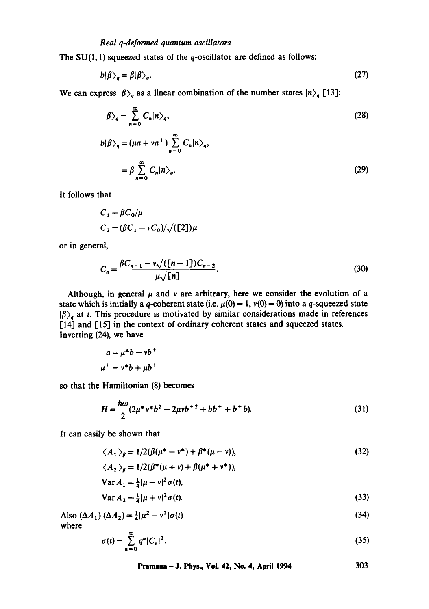The  $SU(1, 1)$  squeezed states of the q-oscillator are defined as follows:

$$
b|\beta\rangle_q = \beta|\beta\rangle_q. \tag{27}
$$

We can express  $|\beta\rangle_q$  as a linear combination of the number states  $|n\rangle_q$  [13]:

$$
|\beta\rangle_q = \sum_{n=0}^{\infty} C_n |n\rangle_q,
$$
  
\n
$$
b|\beta\rangle_q = (\mu a + v a^+) \sum_{n=0}^{\infty} C_n |n\rangle_q,
$$
  
\n
$$
= \beta \sum_{n=0}^{\infty} C_n |n\rangle_q.
$$
\n(29)

It follows that

$$
C_1 = \beta C_0/\mu
$$
  
\n
$$
C_2 = (\beta C_1 - \nu C_0)/\sqrt{([2])\mu}
$$

or in general,

$$
C_n = \frac{\beta C_{n-1} - \nu \sqrt{((n-1))C_{n-2}}}{\mu \sqrt{[n]}}.
$$
\n(30)

Although, in general  $\mu$  and v are arbitrary, here we consider the evolution of a state which is initially a q-coherent state (i.e.  $\mu(0) = 1$ ,  $\nu(0) = 0$ ) into a q-squeezed state  $|\beta\rangle_q$  at t. This procedure is motivated by similar considerations made in references [14] and [15] in the context of ordinary coherent states and squeezed states. Inverting (24), we have

$$
a = \mu^*b - \nu b^+
$$

$$
a^+ = \nu^*b + \mu b^+
$$

so that the Hamiltonian (8) becomes

$$
H = \frac{\hbar \omega}{2} (2\mu^* \nu^* b^2 - 2\mu v b^{2} + b b^+ + b^+ b). \tag{31}
$$

It can easily be shown that

$$
\langle A_1 \rangle_{\beta} = 1/2(\beta(\mu^* - \nu^*) + \beta^*(\mu - \nu)), \tag{32}
$$

$$
\langle A_2 \rangle_{\beta} = 1/2(\beta^*(\mu + v) + \beta(\mu^* + v^*)),
$$
  
\n
$$
\text{Var } A_1 = \frac{1}{4}|\mu - v|^2 \sigma(t),
$$
  
\n
$$
\text{Var } A_2 = \frac{1}{4}|\mu + v|^2 \sigma(t).
$$
\n(33)

Also 
$$
(\Delta A_1) (\Delta A_2) = \frac{1}{4} |\mu^2 - v^2| \sigma(t)
$$
 (34)  
where

 $\sigma(t) = \sum q^n |C_n|^2$ . n=O (35)

**Pramana** – J. Phys., Vol. 42, No. 4, April 1994 
$$
303
$$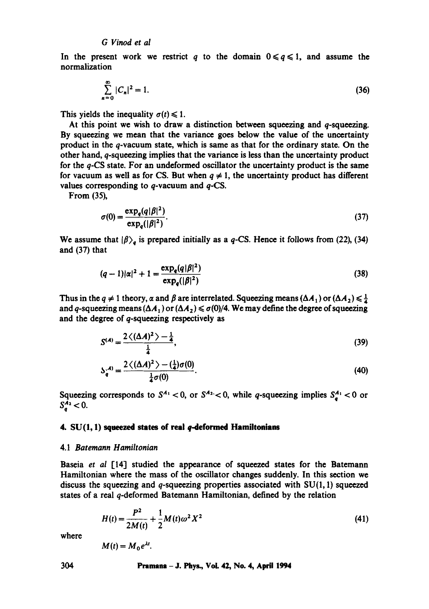## *G Vinod et al*

In the present work we restrict q to the domain  $0 \leq q \leq 1$ , and assume the normalization

$$
\sum_{n=0}^{\infty} |C_n|^2 = 1.
$$
 (36)

This yields the inequality  $\sigma(t) \leq 1$ .

At this point we wish to draw a distinction between squeezing and  $q$ -squeezing. By squeezing we mean that the variance goes below the value of the uncertainty product in the q-vacuum state, which is same as that for the ordinary state. On the other hand, q-squeezing implies that the variance is less than the uncertainty product for the q-CS state. For an undeformed oscillator the uncertainty product is the same for vacuum as well as for CS. But when  $q \neq 1$ , the uncertainty product has different values corresponding to  $q$ -vacuum and  $q$ -CS.

From (35),

$$
\sigma(0) = \frac{\exp_q(q|\beta|^2)}{\exp_q(|\beta|^2)}.
$$
\n(37)

We assume that  $|\beta\rangle_q$  is prepared initially as a q-CS. Hence it follows from (22), (34) and (37) that

$$
(q-1)|\alpha|^2 + 1 = \frac{\exp_q(q|\beta|^2)}{\exp_q(|\beta|^2)}
$$
(38)

Thus in the  $q \neq 1$  theory,  $\alpha$  and  $\beta$  are interrelated. Squeezing means ( $\Delta A_1$ ) or ( $\Delta A_2$ )  $\leq \frac{1}{4}$ and q-squeezing means  $(\Delta A_1)$  or  $(\Delta A_2) \le \sigma(0)/4$ . We may define the degree of squeezing and the degree of q-squeezing respectively as

$$
S^{(A)} = \frac{2\langle (\Delta A)^2 \rangle - \frac{1}{4}}{\frac{1}{4}},
$$
 (39)

$$
\mathcal{S}_q^{(A)} = \frac{2\langle (\Delta A)^2 \rangle - (\frac{1}{4})\sigma(0)}{\frac{1}{4}\sigma(0)}.
$$
 (40)

Squeezing corresponds to  $S^{A_1}$  < 0, or  $S^{A_2}$  < 0, while q-squeezing implies  $S_q^{A_1}$  < 0 or  $S_a^{\bar{A_2}} < 0.$ 

## **4. SU(1, 1) squeezed states of real q-deformed Hamiltoaiaas**

## 4.1 *Batemann Hamiltonian*

Baseia *et al* [14] studied the appearance of squeezed states for the Batemann Hamiltonian where the mass of the oscillator changes suddenly. In this section we discuss the squeezing and q-squeezing properties associated with  $SU(1, 1)$  squeezed states of a real q-deformed Batemann Hamiltonian, defined by the relation

$$
H(t) = \frac{P^2}{2M(t)} + \frac{1}{2}M(t)\omega^2 X^2
$$
\n(41)

where

$$
M(t) = M_0 e^{\lambda t}.
$$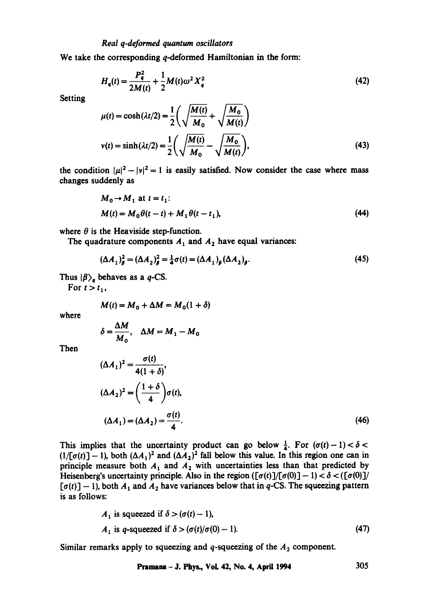**We** take the corresponding q-deformed Hamiltonian in the form:

$$
H_q(t) = \frac{P_q^2}{2M(t)} + \frac{1}{2}M(t)\omega^2 X_q^2
$$
 (42)

**Setting** 

$$
\mu(t) = \cosh(\lambda t/2) = \frac{1}{2} \left( \sqrt{\frac{M(t)}{M_0}} + \sqrt{\frac{M_0}{M(t)}} \right)
$$
  

$$
v(t) = \sinh(\lambda t/2) = \frac{1}{2} \left( \sqrt{\frac{M(t)}{M_0}} - \sqrt{\frac{M_0}{M(t)}} \right),
$$
 (43)

the condition  $|\mu|^2 - |v|^2 = 1$  is easily satisfied. Now consider the case where mass changes suddenly as

$$
M_0 \to M_1 \text{ at } t = t_1:
$$
  
\n
$$
M(t) = M_0 \theta(t - t) + M_1 \theta(t - t_1),
$$
\n(44)

where  $\theta$  is the Heaviside step-function.

The quadrature components  $A_1$  and  $A_2$  have equal variances:

$$
(\Delta A_1)^2_{\beta} = (\Delta A_2)^2_{\beta} = \frac{1}{4}\sigma(t) = (\Delta A_1)_{\beta} (\Delta A_2)_{\beta}.
$$
 (45)

Thus  $|\beta\rangle_q$  behaves as a q-CS.

For  $t > t_1$ ,

$$
M(t) = M_0 + \Delta M = M_0(1+\delta)
$$

where

$$
\delta = \frac{\Delta M}{M_0}, \quad \Delta M = M_1 - M_0
$$

Then

$$
(\Delta A_1)^2 = \frac{\sigma(t)}{4(1+\delta)},
$$
  
\n
$$
(\Delta A_2)^2 = \left(\frac{1+\delta}{4}\right)\sigma(t),
$$
  
\n
$$
(\Delta A_1) = (\Delta A_2) = \frac{\sigma(t)}{4}.
$$
\n(46)

This implies that the uncertainty product can go below  $\frac{1}{4}$ . For  $(\sigma(t)-1) < \delta <$  $(1/[\sigma(t)] - 1)$ , both  $(\Delta A_1)^2$  and  $(\Delta A_2)^2$  fall below this value. In this region one can in principle measure both  $A_1$  and  $A_2$  with uncertainties less than that predicted by Heisenberg's uncertainty principle. Also in the region  $([\sigma(t)]/[\sigma(0)] - 1) < \delta < ([\sigma(0)]/$  $[\sigma(t)] - 1$ , both  $A_1$  and  $A_2$  have variances below that in q-CS. The squeezing pattern is as follows:

$$
A_1 \text{ is squeezed if } \delta > (\sigma(t) - 1),
$$
  
\n
$$
A_1 \text{ is } q\text{-squeezed if } \delta > (\sigma(t)/\sigma(0) - 1).
$$
\n(47)

Similar remarks apply to squeezing and  $q$ -squeezing of the  $A_2$  component.

$$
Pramana - J. Phys., Vol. 42, No. 4, April 1994 \t\t\t\t\t 305
$$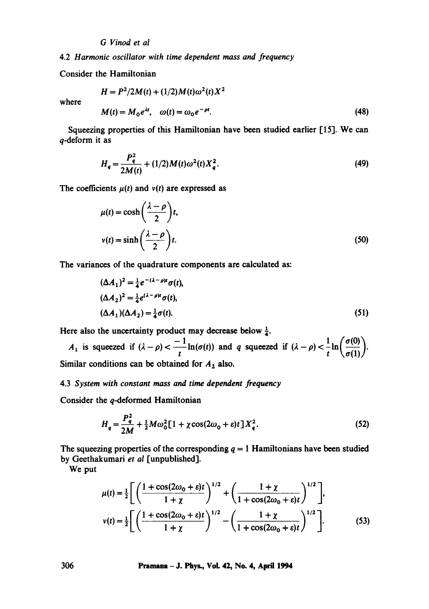*G Vinod et al* 

4.2 *Harmonic oscillator with time dependent mass and frequency* 

Consider the Hamiltonian

$$
H = P2/2M(t) + (1/2)M(t)\omega2(t)X2
$$

where

$$
M(t) = M_0 e^{\lambda t}, \quad \omega(t) = \omega_0 e^{-\rho t}.
$$
 (48)

Squeezing properties of this Hamiltonian have been studied earlier [15]. We can q-deform it as

$$
H_q = \frac{P_q^2}{2M(t)} + (1/2)M(t)\omega^2(t)X_q^2.
$$
 (49)

The coefficients  $\mu(t)$  and  $v(t)$  are expressed as

$$
\mu(t) = \cosh\left(\frac{\lambda - \rho}{2}\right)t,
$$
  

$$
v(t) = \sinh\left(\frac{\lambda - \rho}{2}\right)t.
$$
 (50)

The variances of the quadrature components are calculated as:

$$
(\Delta A_1)^2 = \frac{1}{4} e^{-(\lambda - \rho)t} \sigma(t),
$$
  
\n
$$
(\Delta A_2)^2 = \frac{1}{4} e^{(\lambda - \rho)t} \sigma(t),
$$
  
\n
$$
(\Delta A_1)(\Delta A_2) = \frac{1}{4} \sigma(t).
$$
\n(51)

Here also the uncertainty product may decrease below  $\frac{1}{4}$ .

 $A_1$  is squeezed if  $(\lambda - \rho) < \frac{-1}{t} \ln(\sigma(t))$  and q squeezed if  $(\lambda - \rho) < \frac{1}{t} \ln\left(\frac{\sigma(0)}{\sigma(1)}\right)$ . Similar conditions can be obtained for  $A_2$  also.

## 4.3 *System with constant mass and time dependent frequency*

Consider the q-deformed Hamiltonian

$$
H_{q} = \frac{P_{q}^{2}}{2M} + \frac{1}{2}M\omega_{0}^{2}[1 + \chi\cos(2\omega_{0} + \varepsilon)t]X_{q}^{2}.
$$
 (52)

The squeezing properties of the corresponding  $q = 1$  Hamiltonians have been studied by Geethakumari *et al* [unpublished].

We put

$$
\mu(t) = \frac{1}{2} \Bigg[ \left( \frac{1 + \cos(2\omega_0 + \varepsilon)t}{1 + \chi} \right)^{1/2} + \left( \frac{1 + \chi}{1 + \cos(2\omega_0 + \varepsilon)t} \right)^{1/2} \Bigg],
$$
  

$$
v(t) = \frac{1}{2} \Bigg[ \left( \frac{1 + \cos(2\omega_0 + \varepsilon)t}{1 + \chi} \right)^{1/2} - \left( \frac{1 + \chi}{1 + \cos(2\omega_0 + \varepsilon)t} \right)^{1/2} \Bigg].
$$
 (53)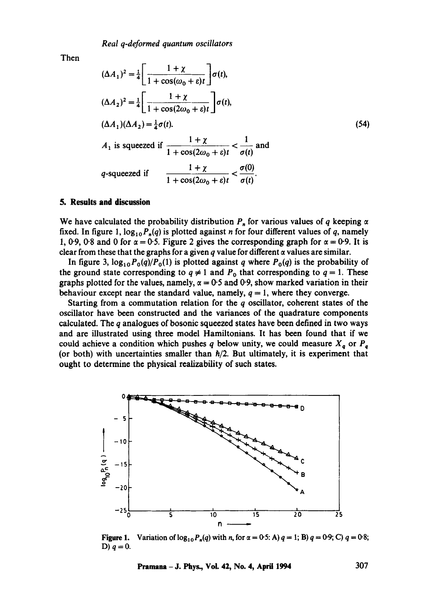Then

$$
(\Delta A_1)^2 = \frac{1}{4} \left[ \frac{1 + \chi}{1 + \cos(\omega_0 + \varepsilon)t} \right] \sigma(t),
$$
  
\n
$$
(\Delta A_2)^2 = \frac{1}{4} \left[ \frac{1 + \chi}{1 + \cos(2\omega_0 + \varepsilon)t} \right] \sigma(t),
$$
  
\n
$$
(\Delta A_1)(\Delta A_2) = \frac{1}{4}\sigma(t).
$$
  
\n
$$
A_1 \text{ is squeezed if } \frac{1 + \chi}{1 + \cos(2\omega_0 + \varepsilon)t} < \frac{1}{\sigma(t)} \text{ and}
$$
  
\n
$$
q\text{-squeezed if } \frac{1 + \chi}{1 + \cos(2\omega_0 + \varepsilon)t} < \frac{\sigma(0)}{\sigma(t)}.
$$
 (54)

## **5. Results and discussion**

We have calculated the probability distribution  $P_n$  for various values of q keeping  $\alpha$ fixed. In figure 1,  $\log_{10} P_n(q)$  is plotted against *n* for four different values of q, namely 1, 0.9, 0.8 and 0 for  $\alpha = 0.5$ . Figure 2 gives the corresponding graph for  $\alpha = 0.9$ . It is clear from these that the graphs for a given q value for different  $\alpha$  values are similar.

In figure 3,  $log_{10}P_0(q)/P_0(1)$  is plotted against q where  $P_0(q)$  is the probability of the ground state corresponding to  $q \neq 1$  and  $P_0$  that corresponding to  $q = 1$ . These graphs plotted for the values, namely,  $\alpha = 0.5$  and 0.9, show marked variation in their behaviour except near the standard value, namely,  $q = 1$ , where they converge.

Starting from a commutation relation for the q oscillator, coherent states of the oscillator have been constructed and the variances of the quadrature components calculated. The  $q$  analogues of bosonic squeezed states have been defined in two ways and are illustrated using three model Hamiltonians. It has been found that if we could achieve a condition which pushes q below unity, we could measure  $X_q$  or  $P_q$ (or both) with uncertainties smaller than  $\hbar/2$ . But ultimately, it is experiment that ought to determine the physical realizability of such states.



**Figure 1.**  D)  $q=0$ . Variation of  $\log_{10} P_n(q)$  with n, for  $\alpha = 0.5$ : A)  $q = 1$ ; B)  $q = 0.9$ ; C)  $q = 0.8$ ;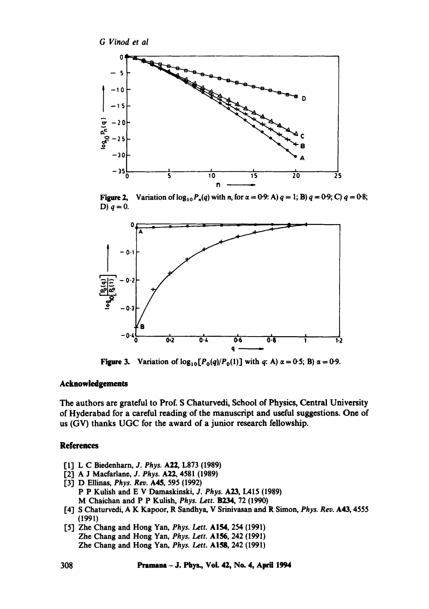

Figure **2,**  D)  $q=0$ . Variation of  $\log_{10} P_n(q)$  with n, for  $\alpha = 0.9$ : A)  $q = 1$ ; B)  $q = 0.9$ ; C)  $q = 0.8$ ;



**Figure 3.** Variation of  $log_{10}[P_0(q)/P_0(1)]$  with q: A)  $\alpha = 0.5$ ; B)  $\alpha = 0.9$ .

## **Acknowledgements**

The authors are grateful to Prof. S Chaturvedi, School of Physics, Central University of Hyderabad for a careful reading of the manuscript and useful suggestions. One of us (GV) thanks UGC for the award of a junior research fellowship.

## **References**

- [13 L C Biedenharn, *J. Phys.* A22, L873 (1989)
- [2] A J Macfarlane, *J. Phys.* A22, 4581 (1989)
- I'3] D Ellinas, *Phys. Rev.* A45, 595 (1992) P P Kulish and E V Damaskinski, J. *Phys.* A23, IA15 (1989) M Chaichan and P P Kulish, *Phys. Lett.* B234, 72 (1990)
- 1'4] S Chaturvedi, A K Kapoor, R Sandhya, V Srinivasan and R Simon, *Phys. Rev.* A43, 4555 (1991)
- 1'5] Zhe Chang and Hong Yan, *Phys. Lett.* A154, 254 (1991) Zhe Chang and Hong Yah, *Phys, Lett.* A156, 242 (1991) Zhe Chang and Hong Yah, *Phys. Lett.* A158, 242 (1991)